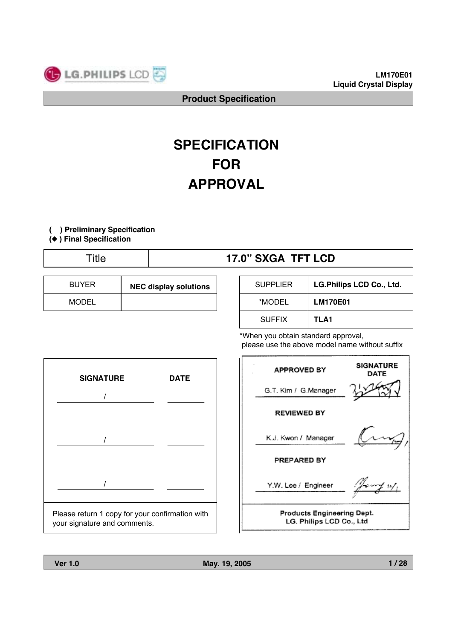

# **SPECIFICATION FOR APPROVAL**

#### **( ) Preliminary Specification**

**(**◆ **) Final Specification**

# Title **17.0" SXGA TFT LCD**

| <b>BUYER</b> | <b>NEC display solutions</b> |
|--------------|------------------------------|
| MODEL        |                              |

| <b>SUPPLIER</b> | LG.Philips LCD Co., Ltd. |
|-----------------|--------------------------|
| *MODEL          | <b>LM170E01</b>          |
| <b>SUFFIX</b>   | TLA1                     |

\*When you obtain standard approval, please use the above model name without suffix



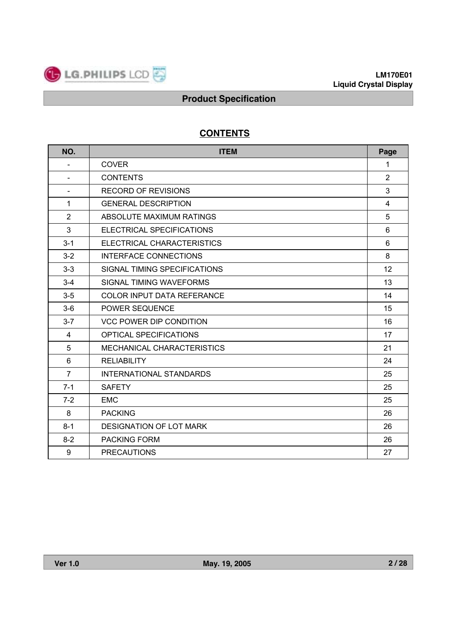

# **CONTENTS**

| NO.            | <b>ITEM</b>                       | Page           |
|----------------|-----------------------------------|----------------|
| $\blacksquare$ | <b>COVER</b>                      | 1              |
|                | <b>CONTENTS</b>                   | $\overline{2}$ |
| $\blacksquare$ | <b>RECORD OF REVISIONS</b>        | 3              |
| 1              | <b>GENERAL DESCRIPTION</b>        | 4              |
| $\overline{2}$ | ABSOLUTE MAXIMUM RATINGS          | 5              |
| $\mathbf{3}$   | ELECTRICAL SPECIFICATIONS         | 6              |
| $3 - 1$        | ELECTRICAL CHARACTERISTICS        | 6              |
| $3 - 2$        | INTERFACE CONNECTIONS             | 8              |
| $3 - 3$        | SIGNAL TIMING SPECIFICATIONS      | 12             |
| $3 - 4$        | SIGNAL TIMING WAVEFORMS           | 13             |
| $3-5$          | <b>COLOR INPUT DATA REFERANCE</b> | 14             |
| $3-6$          | <b>POWER SEQUENCE</b>             | 15             |
| $3 - 7$        | <b>VCC POWER DIP CONDITION</b>    | 16             |
| $\overline{4}$ | <b>OPTICAL SPECIFICATIONS</b>     | 17             |
| 5              | <b>MECHANICAL CHARACTERISTICS</b> | 21             |
| 6              | <b>RELIABILITY</b>                | 24             |
| $\overline{7}$ | <b>INTERNATIONAL STANDARDS</b>    | 25             |
| $7 - 1$        | <b>SAFETY</b>                     | 25             |
| $7 - 2$        | <b>EMC</b>                        | 25             |
| 8              | <b>PACKING</b>                    | 26             |
| $8 - 1$        | <b>DESIGNATION OF LOT MARK</b>    | 26             |
| $8 - 2$        | <b>PACKING FORM</b>               | 26             |
| 9              | <b>PRECAUTIONS</b>                | 27             |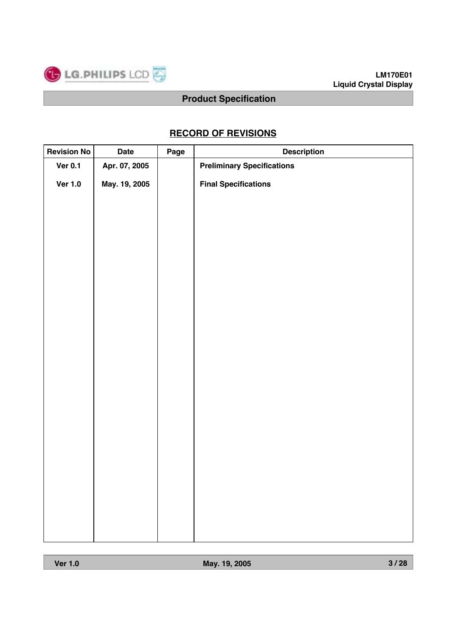

# **RECORD OF REVISIONS**

| <b>Revision No</b> | Date          | Page | <b>Description</b>                |
|--------------------|---------------|------|-----------------------------------|
| <b>Ver 0.1</b>     | Apr. 07, 2005 |      | <b>Preliminary Specifications</b> |
| <b>Ver 1.0</b>     | May. 19, 2005 |      | <b>Final Specifications</b>       |
|                    |               |      |                                   |
|                    |               |      |                                   |
|                    |               |      |                                   |
|                    |               |      |                                   |
|                    |               |      |                                   |
|                    |               |      |                                   |
|                    |               |      |                                   |
|                    |               |      |                                   |
|                    |               |      |                                   |
|                    |               |      |                                   |
|                    |               |      |                                   |
|                    |               |      |                                   |
|                    |               |      |                                   |
|                    |               |      |                                   |
|                    |               |      |                                   |
|                    |               |      |                                   |
|                    |               |      |                                   |
|                    |               |      |                                   |
|                    |               |      |                                   |
|                    |               |      |                                   |
|                    |               |      |                                   |
|                    |               |      |                                   |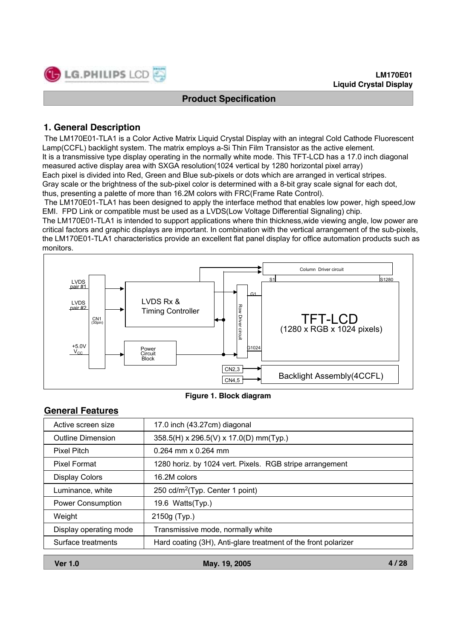# **1. General Description**

LG.PHILIPS LCD

The LM170E01-TLA1 is a Color Active Matrix Liquid Crystal Display with an integral Cold Cathode Fluorescent Lamp(CCFL) backlight system. The matrix employs a-Si Thin Film Transistor as the active element.

It is a transmissive type display operating in the normally white mode. This TFT-LCD has a 17.0 inch diagonal measured active display area with SXGA resolution(1024 vertical by 1280 horizontal pixel array)

Each pixel is divided into Red, Green and Blue sub-pixels or dots which are arranged in vertical stripes.

Gray scale or the brightness of the sub-pixel color is determined with a 8-bit gray scale signal for each dot,

thus, presenting a palette of more than 16.2M colors with FRC(Frame Rate Control).

The LM170E01-TLA1 has been designed to apply the interface method that enables low power, high speed,low EMI. FPD Link or compatible must be used as a LVDS(Low Voltage Differential Signaling) chip.

The LM170E01-TLA1 is intended to support applications where thin thickness,wide viewing angle, low power are critical factors and graphic displays are important. In combination with the vertical arrangement of the sub-pixels, the LM170E01-TLA1 characteristics provide an excellent flat panel display for office automation products such as monitors.



**Figure 1. Block diagram**

# **General Features**

| Active screen size       | 17.0 inch (43.27cm) diagonal                                   |
|--------------------------|----------------------------------------------------------------|
| <b>Outline Dimension</b> | 358.5(H) x 296.5(V) x 17.0(D) mm(Typ.)                         |
| <b>Pixel Pitch</b>       | $0.264$ mm x 0.264 mm                                          |
| <b>Pixel Format</b>      | 1280 horiz. by 1024 vert. Pixels. RGB stripe arrangement       |
| <b>Display Colors</b>    | 16.2M colors                                                   |
| Luminance, white         | 250 cd/m <sup>2</sup> (Typ. Center 1 point)                    |
| <b>Power Consumption</b> | 19.6 Watts(Typ.)                                               |
| Weight                   | 2150g (Typ.)                                                   |
| Display operating mode   | Transmissive mode, normally white                              |
| Surface treatments       | Hard coating (3H), Anti-glare treatment of the front polarizer |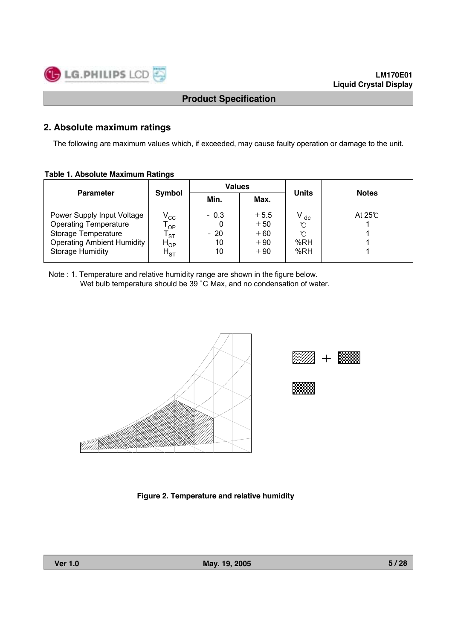# **2. Absolute maximum ratings**

The following are maximum values which, if exceeded, may cause faulty operation or damage to the unit.

#### **Table 1. Absolute Maximum Ratings**

|                                                                                                                                                   |                                                             | <b>Values</b>               |                                            | <b>Units</b>                     | <b>Notes</b>  |  |
|---------------------------------------------------------------------------------------------------------------------------------------------------|-------------------------------------------------------------|-----------------------------|--------------------------------------------|----------------------------------|---------------|--|
| <b>Parameter</b>                                                                                                                                  | Symbol                                                      | Min.                        | Max.                                       |                                  |               |  |
| Power Supply Input Voltage<br><b>Operating Temperature</b><br>Storage Temperature<br><b>Operating Ambient Humidity</b><br><b>Storage Humidity</b> | $\rm V_{\rm CC}$<br>OP<br><b>ST</b><br>$H_{OP}$<br>$H_{ST}$ | $-0.3$<br>$-20$<br>10<br>10 | $+5.5$<br>$+50$<br>$+60$<br>$+90$<br>$+90$ | $V_{dc}$<br>℃<br>℃<br>%RH<br>%RH | At $25^\circ$ |  |

Note : 1. Temperature and relative humidity range are shown in the figure below. Wet bulb temperature should be 39 °C Max, and no condensation of water.





| . |       |   |   |  |
|---|-------|---|---|--|
|   | .     |   |   |  |
|   | <br>. |   | ▪ |  |
|   |       |   |   |  |
|   |       |   |   |  |
|   |       | ▪ |   |  |

**Figure 2. Temperature and relative humidity**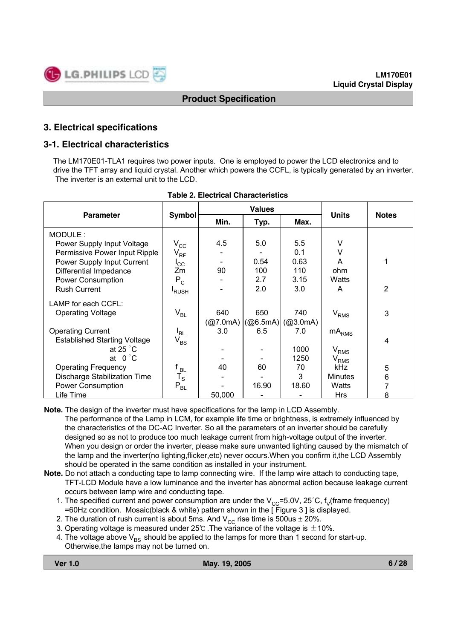# **3. Electrical specifications**

# **3-1. Electrical characteristics**

The LM170E01-TLA1 requires two power inputs. One is employed to power the LCD electronics and to drive the TFT array and liquid crystal. Another which powers the CCFL, is typically generated by an inverter. The inverter is an external unit to the LCD.

|                                     |                         |          | <b>Values</b> |          | <b>Notes</b>                |                |
|-------------------------------------|-------------------------|----------|---------------|----------|-----------------------------|----------------|
| <b>Parameter</b>                    | <b>Symbol</b>           | Min.     | Typ.          | Max.     | <b>Units</b>                |                |
| MODULE:                             |                         |          |               |          |                             |                |
| Power Supply Input Voltage          | $\rm V_{CC}$            | 4.5      | 5.0           | 5.5      | V                           |                |
| Permissive Power Input Ripple       | $V_{RF}$                |          |               | 0.1      | v                           |                |
| Power Supply Input Current          | $I_{\rm CC}$            |          | 0.54          | 0.63     | A                           |                |
| Differential Impedance              | Zm                      | 90       | 100           | 110      | ohm                         |                |
| <b>Power Consumption</b>            | $P_C$                   |          | 2.7           | 3.15     | Watts                       |                |
| <b>Rush Current</b>                 | <sup>I</sup> RUSH       |          | 2.0           | 3.0      | A                           | $\overline{2}$ |
| LAMP for each CCFL:                 |                         |          |               |          |                             |                |
| <b>Operating Voltage</b>            | $V_{BL}$                | 640      | 650           | 740      | V <sub>RMS</sub>            | 3              |
|                                     |                         | (Q7.0mA) | (Q6.5mA)      | (@3.0mA) |                             |                |
| <b>Operating Current</b>            | I <sub>BL</sub>         | 3.0      | 6.5           | 7.0      | $mA_{RMS}$                  |                |
| <b>Established Starting Voltage</b> | $V_{BS}$                |          |               |          |                             | 4              |
| at 25 $^{\circ}$ C                  |                         |          |               | 1000     | $\mathsf{V}_{\mathsf{RMS}}$ |                |
| at $0^{\circ}$ C                    |                         |          |               | 1250     | $\rm V_{RMS}$               |                |
| <b>Operating Frequency</b>          | ' BL                    | 40       | 60            | 70       | <b>kHz</b>                  | 5              |
| <b>Discharge Stabilization Time</b> | $\mathtt{T}_\mathtt{S}$ |          |               | 3        | <b>Minutes</b>              | 6              |
| Power Consumption                   | $P_{BL}$                |          | 16.90         | 18.60    | Watts                       |                |
| Life Time                           |                         | 50,000   |               |          | Hrs                         | я              |

|  |  | <b>Table 2. Electrical Characteristics</b> |
|--|--|--------------------------------------------|
|--|--|--------------------------------------------|

**Note.** The design of the inverter must have specifications for the lamp in LCD Assembly. The performance of the Lamp in LCM, for example life time or brightness, is extremely influenced by the characteristics of the DC-AC Inverter. So all the parameters of an inverter should be carefully designed so as not to produce too much leakage current from high-voltage output of the inverter. When you design or order the inverter, please make sure unwanted lighting caused by the mismatch of the lamp and the inverter(no lighting,flicker,etc) never occurs.When you confirm it,the LCD Assembly should be operated in the same condition as installed in your instrument.

- **Note.** Do not attach a conducting tape to lamp connecting wire. If the lamp wire attach to conducting tape, TFT-LCD Module have a low luminance and the inverter has abnormal action because leakage current occurs between lamp wire and conducting tape.
	- 1. The specified current and power consumption are under the  $V_{CC}=5.0V$ , 25°C, f<sub>V</sub>(frame frequency) =60Hz condition. Mosaic(black & white) pattern shown in the [ Figure 3 ] is displayed.
	- 2. The duration of rush current is about 5ms. And  $V_{CC}$  rise time is 500us  $\pm$  20%.
	- 3. Operating voltage is measured under 25℃ . The variance of the voltage is  $±10\%$ .
	- 4. The voltage above  $V_{BS}$  should be applied to the lamps for more than 1 second for start-up. Otherwise,the lamps may not be turned on.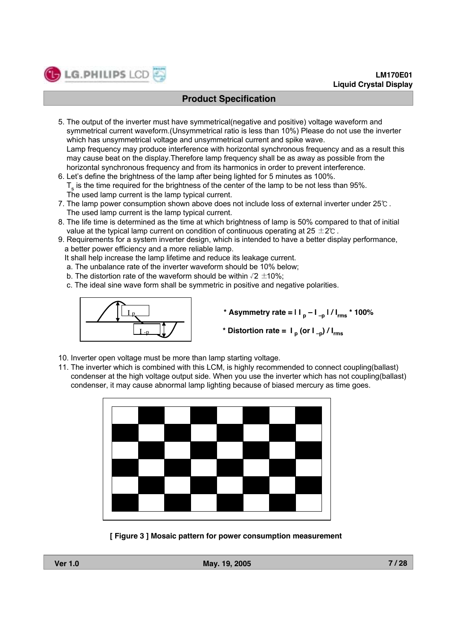5. The output of the inverter must have symmetrical(negative and positive) voltage waveform and symmetrical current waveform.(Unsymmetrical ratio is less than 10%) Please do not use the inverter which has unsymmetrical voltage and unsymmetrical current and spike wave.

Lamp frequency may produce interference with horizontal synchronous frequency and as a result this may cause beat on the display.Therefore lamp frequency shall be as away as possible from the horizontal synchronous frequency and from its harmonics in order to prevent interference.

- 6. Let's define the brightness of the lamp after being lighted for 5 minutes as 100%.  ${\sf T}_{\sf s}$  is the time required for the brightness of the center of the lamp to be not less than 95%. The used lamp current is the lamp typical current.
- 7. The lamp power consumption shown above does not include loss of external inverter under 25℃ . The used lamp current is the lamp typical current.
- 8. The life time is determined as the time at which brightness of lamp is 50% compared to that of initial value at the typical lamp current on condition of continuous operating at 25  $\pm$ 2℃.
- 9. Requirements for a system inverter design, which is intended to have a better display performance, a better power efficiency and a more reliable lamp.

It shall help increase the lamp lifetime and reduce its leakage current.

- a. The unbalance rate of the inverter waveform should be 10% below;
- b. The distortion rate of the waveform should be within  $\sqrt{2} \pm 10\%$ ;
- c. The ideal sine wave form shall be symmetric in positive and negative polarities.



LG.PHILIPS LCD

- **\*** Asymmetry rate =  $| \cdot |_{p} | \cdot |_{p} | / | \cdot |_{rms}$  **\*** 100%
- \* Distortion rate =  $I_p$  (or  $I_{-p}$ ) /  $I_{rms}$
- 10. Inverter open voltage must be more than lamp starting voltage.
- 11. The inverter which is combined with this LCM, is highly recommended to connect coupling(ballast) condenser at the high voltage output side. When you use the inverter which has not coupling(ballast) condenser, it may cause abnormal lamp lighting because of biased mercury as time goes.



**[ Figure 3 ] Mosaic pattern for power consumption measurement**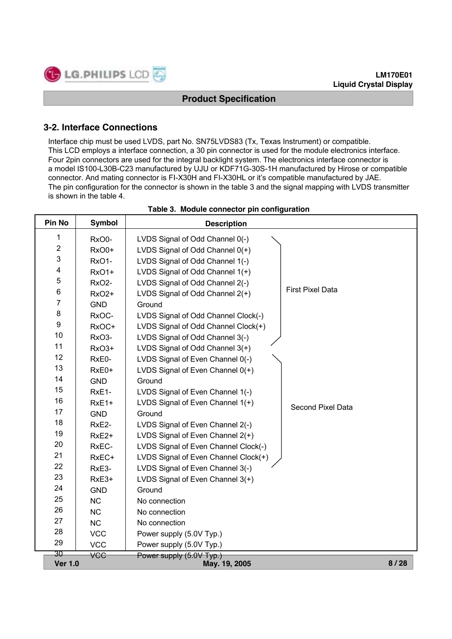# **3-2. Interface Connections**

Interface chip must be used LVDS, part No. SN75LVDS83 (Tx, Texas Instrument) or compatible. This LCD employs a interface connection, a 30 pin connector is used for the module electronics interface. Four 2pin connectors are used for the integral backlight system. The electronics interface connector is a model IS100-L30B-C23 manufactured by UJU or KDF71G-30S-1H manufactured by Hirose or compatible connector. And mating connector is FI-X30H and FI-X30HL or it's compatible manufactured by JAE. The pin configuration for the connector is shown in the table 3 and the signal mapping with LVDS transmitter is shown in the table 4.

| Pin No                  | <b>Symbol</b>      | <b>Description</b>                   |                         |
|-------------------------|--------------------|--------------------------------------|-------------------------|
| 1                       | RxO0-              | LVDS Signal of Odd Channel 0(-)      |                         |
| $\overline{\mathbf{c}}$ | RxO0+              | LVDS Signal of Odd Channel $0(+)$    |                         |
| 3                       | RxO1-              | LVDS Signal of Odd Channel 1(-)      |                         |
| 4                       | <b>RxO1+</b>       | LVDS Signal of Odd Channel 1(+)      |                         |
| $\mathbf 5$             | RxO <sub>2</sub> - | LVDS Signal of Odd Channel 2(-)      |                         |
| 6                       | <b>RxO2+</b>       | LVDS Signal of Odd Channel 2(+)      | <b>First Pixel Data</b> |
| $\overline{7}$          | <b>GND</b>         | Ground                               |                         |
| 8                       | RxOC-              | LVDS Signal of Odd Channel Clock(-)  |                         |
| 9                       | RxOC+              | LVDS Signal of Odd Channel Clock(+)  |                         |
| 10                      | RxO <sub>3</sub> - | LVDS Signal of Odd Channel 3(-)      |                         |
| 11                      | RxO3+              | LVDS Signal of Odd Channel 3(+)      |                         |
| 12                      | RxE0-              | LVDS Signal of Even Channel 0(-)     |                         |
| 13                      | RxE0+              | LVDS Signal of Even Channel $0(+)$   |                         |
| 14                      | <b>GND</b>         | Ground                               |                         |
| 15                      | RxE1-              | LVDS Signal of Even Channel 1(-)     |                         |
| 16                      | RxE1+              | LVDS Signal of Even Channel 1(+)     | Second Pixel Data       |
| 17                      | <b>GND</b>         | Ground                               |                         |
| 18                      | RxE2-              | LVDS Signal of Even Channel 2(-)     |                         |
| 19                      | RxE <sub>2+</sub>  | LVDS Signal of Even Channel 2(+)     |                         |
| 20                      | RxEC-              | LVDS Signal of Even Channel Clock(-) |                         |
| 21                      | RxEC+              | LVDS Signal of Even Channel Clock(+) |                         |
| 22                      | RxE3-              | LVDS Signal of Even Channel 3(-)     |                         |
| 23                      | RxE3+              | LVDS Signal of Even Channel 3(+)     |                         |
| 24                      | <b>GND</b>         | Ground                               |                         |
| 25                      | <b>NC</b>          | No connection                        |                         |
| 26                      | <b>NC</b>          | No connection                        |                         |
| 27                      | <b>NC</b>          | No connection                        |                         |
| 28                      | <b>VCC</b>         | Power supply (5.0V Typ.)             |                         |
| 29                      | <b>VCC</b>         | Power supply (5.0V Typ.)             |                         |
| 30                      | <b>VCC</b>         | Power supply (5.0V Typ.)             |                         |
| <b>Ver 1.0</b>          |                    | May. 19, 2005                        | 8/28                    |

#### **Table 3. Module connector pin configuration**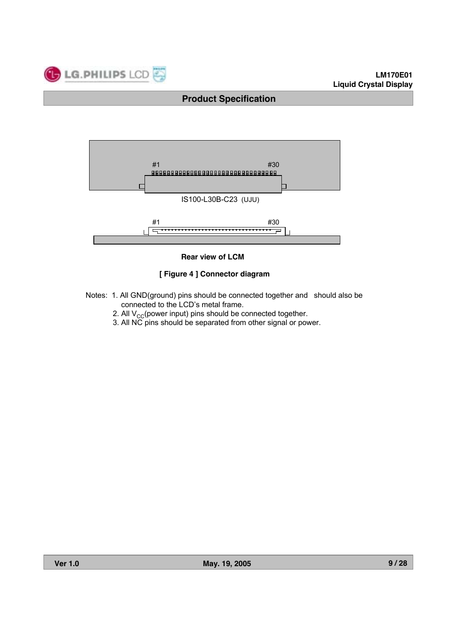



**Rear view of LCM**

#### **[ Figure 4 ] Connector diagram**

- Notes: 1. All GND(ground) pins should be connected together and should also be connected to the LCD's metal frame.
	- 2. All  $V_{CC}$ (power input) pins should be connected together.
	- 3. All NC pins should be separated from other signal or power.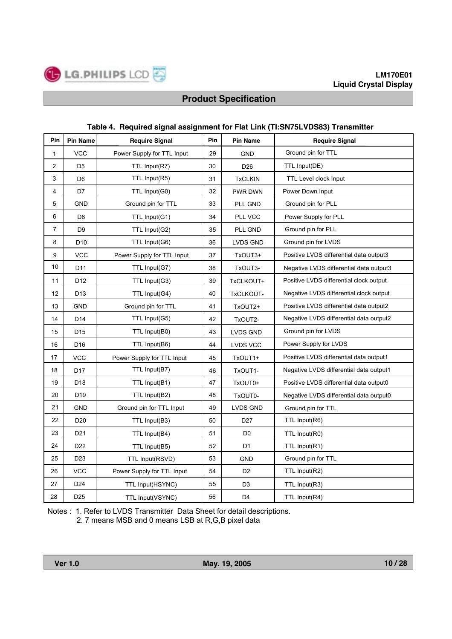LG.PHILIPS LCD

國

#### **Table 4. Required signal assignment for Flat Link (TI:SN75LVDS83) Transmitter**

| Pin            | <b>Pin Name</b> | <b>Require Signal</b>      | Pin | <b>Pin Name</b> | <b>Require Signal</b>                   |
|----------------|-----------------|----------------------------|-----|-----------------|-----------------------------------------|
| $\mathbf{1}$   | <b>VCC</b>      | Power Supply for TTL Input | 29  | <b>GND</b>      | Ground pin for TTL                      |
| $\overline{2}$ | D <sub>5</sub>  | TTL Input(R7)              | 30  | D <sub>26</sub> | TTL Input(DE)                           |
| 3              | D <sub>6</sub>  | TTL Input(R5)              | 31  | <b>TxCLKIN</b>  | TTL Level clock Input                   |
| 4              | D7              | TTL Input(G0)              | 32  | PWR DWN         | Power Down Input                        |
| 5              | <b>GND</b>      | Ground pin for TTL         | 33  | PLL GND         | Ground pin for PLL                      |
| 6              | D <sub>8</sub>  | TTL Input(G1)              | 34  | PLL VCC         | Power Supply for PLL                    |
| $\overline{7}$ | D <sub>9</sub>  | TTL Input(G2)              | 35  | PLL GND         | Ground pin for PLL                      |
| 8              | D <sub>10</sub> | TTL Input(G6)              | 36  | LVDS GND        | Ground pin for LVDS                     |
| 9              | <b>VCC</b>      | Power Supply for TTL Input | 37  | TxOUT3+         | Positive LVDS differential data output3 |
| 10             | D <sub>11</sub> | TTL Input(G7)              | 38  | TxOUT3-         | Negative LVDS differential data output3 |
| 11             | D12             | TTL Input(G3)              | 39  | TxCLKOUT+       | Positive LVDS differential clock output |
| 12             | D <sub>13</sub> | TTL Input(G4)              | 40  | TxCLKOUT-       | Negative LVDS differential clock output |
| 13             | <b>GND</b>      | Ground pin for TTL         | 41  | TxOUT2+         | Positive LVDS differential data output2 |
| 14             | D <sub>14</sub> | TTL Input(G5)              | 42  | TxOUT2-         | Negative LVDS differential data output2 |
| 15             | D <sub>15</sub> | TTL Input(B0)              | 43  | LVDS GND        | Ground pin for LVDS                     |
| 16             | D16             | TTL Input(B6)              | 44  | LVDS VCC        | Power Supply for LVDS                   |
| 17             | <b>VCC</b>      | Power Supply for TTL Input | 45  | TxOUT1+         | Positive LVDS differential data output1 |
| 18             | D <sub>17</sub> | TTL Input(B7)              | 46  | TxOUT1-         | Negative LVDS differential data output1 |
| 19             | D18             | TTL Input(B1)              | 47  | TxOUT0+         | Positive LVDS differential data output0 |
| 20             | D <sub>19</sub> | TTL Input(B2)              | 48  | TxOUT0-         | Negative LVDS differential data output0 |
| 21             | <b>GND</b>      | Ground pin for TTL Input   | 49  | LVDS GND        | Ground pin for TTL                      |
| 22             | D <sub>20</sub> | TTL Input(B3)              | 50  | D <sub>27</sub> | TTL Input(R6)                           |
| 23             | D <sub>21</sub> | TTL Input(B4)              | 51  | D <sub>0</sub>  | TTL Input(R0)                           |
| 24             | D <sub>22</sub> | TTL Input(B5)              | 52  | D <sub>1</sub>  | TTL Input(R1)                           |
| 25             | D <sub>23</sub> | TTL Input(RSVD)            | 53  | <b>GND</b>      | Ground pin for TTL                      |
| 26             | <b>VCC</b>      | Power Supply for TTL Input | 54  | D <sub>2</sub>  | TTL Input(R2)                           |
| 27             | D <sub>24</sub> | TTL Input(HSYNC)           | 55  | D <sub>3</sub>  | TTL Input(R3)                           |
| 28             | D <sub>25</sub> | TTL Input(VSYNC)           | 56  | D <sub>4</sub>  | TTL Input(R4)                           |

Notes : 1. Refer to LVDS Transmitter Data Sheet for detail descriptions.

2. 7 means MSB and 0 means LSB at R,G,B pixel data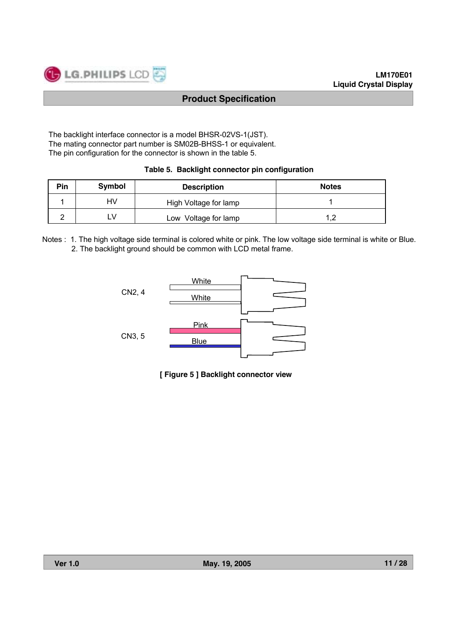The backlight interface connector is a model BHSR-02VS-1(JST). The mating connector part number is SM02B-BHSS-1 or equivalent. The pin configuration for the connector is shown in the table 5.

|  |  |  |  |  | Table 5. Backlight connector pin configuration |  |
|--|--|--|--|--|------------------------------------------------|--|
|--|--|--|--|--|------------------------------------------------|--|

| Pin | Symbol | <b>Description</b>    | <b>Notes</b> |
|-----|--------|-----------------------|--------------|
|     | HV     | High Voltage for lamp |              |
|     | ⊥V     | Low Voltage for lamp  |              |

Notes : 1. The high voltage side terminal is colored white or pink. The low voltage side terminal is white or Blue. 2. The backlight ground should be common with LCD metal frame.



**[ Figure 5 ] Backlight connector view**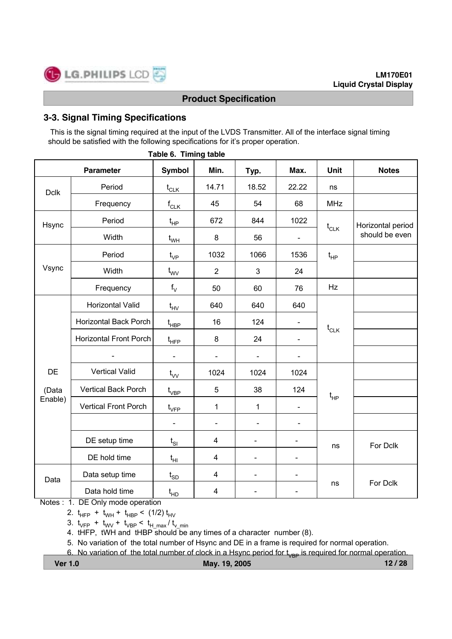# **3-3. Signal Timing Specifications**

This is the signal timing required at the input of the LVDS Transmitter. All of the interface signal timing should be satisfied with the following specifications for it's proper operation.

|             | <b>Parameter</b>             | Symbol                                          | Min.                    | Typ.                         | Max.                     | Unit       | <b>Notes</b>      |  |
|-------------|------------------------------|-------------------------------------------------|-------------------------|------------------------------|--------------------------|------------|-------------------|--|
| <b>Dclk</b> | Period                       | $t_{CLK}$                                       | 14.71                   | 18.52                        | 22.22                    | ns         |                   |  |
|             | Frequency                    | $f_{CLK}$                                       | 45                      | 54                           | 68                       | <b>MHz</b> |                   |  |
| Hsync       | Period                       | $t_{HP}$                                        | 672                     | 844                          | 1022                     |            | Horizontal period |  |
|             | Width                        | $t_{WH}$                                        | $\bf 8$                 | 56                           |                          | $t_{CLK}$  | should be even    |  |
|             | Period                       | $t_{VP}$                                        | 1032                    | 1066                         | 1536                     | $t_{HP}$   |                   |  |
| Vsync       | Width                        | $t_{\text{VV}}$                                 | $\overline{2}$          | 3                            | 24                       |            |                   |  |
|             | Frequency                    | $f_V$                                           | 50                      | 60                           | 76                       | Hz         |                   |  |
|             | <b>Horizontal Valid</b>      | $t_{HV}$                                        | 640                     | 640                          | 640                      |            |                   |  |
|             | <b>Horizontal Back Porch</b> | $\mathfrak{t}_{\mathsf{H}\mathsf{B}\mathsf{P}}$ | 16                      | 124                          | $\blacksquare$           | $t_{CLK}$  |                   |  |
|             | Horizontal Front Porch       | $t_{\scriptscriptstyle \sf HFP}$                | $\bf 8$                 | 24                           | $\overline{\phantom{a}}$ |            |                   |  |
|             |                              | $\overline{a}$                                  | $\blacksquare$          |                              | $\blacksquare$           |            |                   |  |
| DE          | <b>Vertical Valid</b>        | $t_{VV}$                                        | 1024                    | 1024                         | 1024                     |            |                   |  |
| (Data       | <b>Vertical Back Porch</b>   | $\mathfrak{t}_{\mathsf{VBP}}$                   | 5                       | 38                           | 124                      | $t_{HP}$   |                   |  |
| Enable)     | <b>Vertical Front Porch</b>  | $t_{\rm VFP}$                                   | $\mathbf{1}$            | $\mathbf{1}$                 |                          |            |                   |  |
|             |                              | $\blacksquare$                                  | $\blacksquare$          | $\blacksquare$               | $\blacksquare$           |            |                   |  |
|             | DE setup time                | $t_{SI}$                                        | $\overline{\mathbf{4}}$ | $\blacksquare$               | $\blacksquare$           | ns         | For Dclk          |  |
|             | DE hold time                 | $t_{HI}$                                        | $\overline{\mathbf{4}}$ | $\qquad \qquad \blacksquare$ | $\overline{\phantom{a}}$ |            |                   |  |
| Data        | Data setup time              | $t_{SD}$                                        | $\overline{\mathbf{4}}$ | $\overline{\phantom{0}}$     | $\blacksquare$           |            |                   |  |
|             | Data hold time               | $t_{HD}$                                        | $\overline{\mathbf{4}}$ | $\qquad \qquad \blacksquare$ | $\overline{\phantom{a}}$ | ns         | For Dclk          |  |

#### **Table 6. Timing table**

Notes : 1. DE Only mode operation

2.  $t_{HFP}$  +  $t_{WH}$  +  $t_{HBP}$  < (1/2)  $t_{HV}$ 

3.  $t_{VFP}$  +  $t_{WV}$  +  $t_{VBP}$  <  $t_{H,max}/t_{V,min}$ 

4. tHFP, tWH and tHBP should be any times of a character number (8).

5. No variation of the total number of Hsync and DE in a frame is required for normal operation.

6. No variation of the total number of clock in a Hsync period for  $t_{VBP}$  is required for normal operation.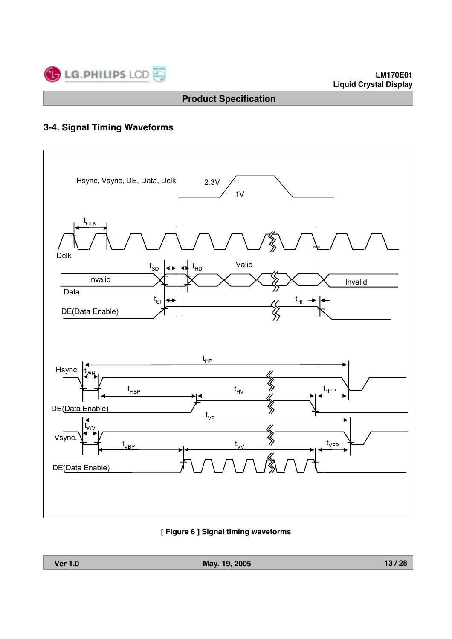

# **3-4. Signal Timing Waveforms**



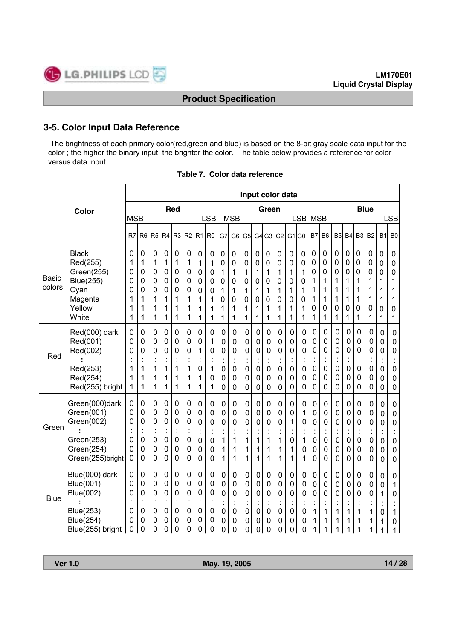# **3-5. Color Input Data Reference**

The brightness of each primary color(red,green and blue) is based on the 8-bit gray scale data input for the color ; the higher the binary input, the brighter the color. The table below provides a reference for color versus data input.

|                 |                                                                                                      |                                                |                                       |                                                                  |                                                                     |                                                        |                                                               |                                                |                                              |                                                                         |                                                             | Input color data                                               |                                       |                                                        |                                                        |                                                          |                                                      |                                                |                                                                                                |                                                                    |                                      |                                                                            |                                         |                                                                            |                                                                                                             |
|-----------------|------------------------------------------------------------------------------------------------------|------------------------------------------------|---------------------------------------|------------------------------------------------------------------|---------------------------------------------------------------------|--------------------------------------------------------|---------------------------------------------------------------|------------------------------------------------|----------------------------------------------|-------------------------------------------------------------------------|-------------------------------------------------------------|----------------------------------------------------------------|---------------------------------------|--------------------------------------------------------|--------------------------------------------------------|----------------------------------------------------------|------------------------------------------------------|------------------------------------------------|------------------------------------------------------------------------------------------------|--------------------------------------------------------------------|--------------------------------------|----------------------------------------------------------------------------|-----------------------------------------|----------------------------------------------------------------------------|-------------------------------------------------------------------------------------------------------------|
|                 | Color                                                                                                | <b>MSB</b>                                     |                                       |                                                                  |                                                                     | Red                                                    |                                                               |                                                | <b>LSB</b>                                   |                                                                         | <b>MSB</b>                                                  |                                                                |                                       | Green                                                  |                                                        |                                                          | <b>LSB</b>                                           | <b>MSB</b>                                     |                                                                                                |                                                                    |                                      |                                                                            | <b>Blue</b>                             |                                                                            | <b>LSB</b>                                                                                                  |
|                 |                                                                                                      | R7                                             | R <sub>6</sub>                        | R <sub>5</sub>                                                   | R <sub>4</sub>                                                      | R <sub>3</sub>                                         | R <sub>2</sub>                                                | R1                                             | R <sub>0</sub>                               | G7                                                                      | G <sub>6</sub>                                              | G5                                                             | G <sub>4</sub>                        | G <sub>3</sub>                                         | G2                                                     | G <sub>1</sub> G <sub>0</sub>                            |                                                      | <b>B7</b>                                      | B <sub>6</sub>                                                                                 | B5                                                                 | B <sub>4</sub>                       | B <sub>3</sub>                                                             | <b>B2</b>                               | <b>B1</b>                                                                  | B <sub>0</sub>                                                                                              |
| Basic<br>colors | <b>Black</b><br>Red(255)<br>Green(255)<br><b>Blue(255)</b><br>Cyan<br>Magenta<br>Yellow<br>White     | $\mathbf 0$<br>1<br>0<br>0<br>0<br>1<br>1<br>1 | 0<br>1<br>0<br>0<br>0<br>1<br>1<br>1  | $\mathbf 0$<br>1<br>0<br>0<br>0<br>1<br>1<br>1                   | 0<br>1<br>$\mathbf 0$<br>0<br>0<br>1<br>1<br>1                      | 0<br>1<br>0<br>0<br>0<br>1<br>1<br>1                   | 0<br>1<br>$\mathbf 0$<br>$\mathbf 0$<br>0<br>1<br>1<br>1      | 0<br>1<br>0<br>0<br>0<br>1<br>1<br>1           | 0<br>1<br>0<br>0<br>0<br>1<br>1<br>1         | 0<br>$\mathbf 0$<br>1<br>0<br>1<br>0<br>1<br>1                          | 0<br>0<br>1<br>0<br>1<br>0<br>1<br>1                        | 0<br>0<br>1<br>0<br>1<br>0<br>1<br>1                           | 0<br>0<br>1<br>0<br>1<br>0<br>1<br>1  | 0<br>0<br>1<br>0<br>1<br>0<br>1<br>1                   | 0<br>0<br>1<br>0<br>1<br>0<br>1<br>1                   | $\mathbf 0$<br>$\mathbf 0$<br>1<br>0<br>1<br>0<br>1<br>1 | 0<br>0<br>1<br>0<br>1<br>0<br>1<br>1                 | $\mathbf 0$<br>0<br>0<br>1<br>1<br>1<br>0<br>1 | 0<br>0<br>0<br>1<br>1<br>1<br>0<br>1                                                           | 0<br>0<br>0<br>1<br>1<br>1<br>0<br>1                               | 0<br>0<br>0<br>1<br>1<br>1<br>0<br>1 | 0<br>0<br>0<br>1<br>1<br>1<br>0<br>1                                       | 0<br>0<br>0<br>1<br>1<br>1<br>0<br>1    | $\mathbf 0$<br>$\mathbf 0$<br>$\mathbf 0$<br>1<br>1<br>1<br>0<br>1         | $\pmb{0}$<br>$\pmb{0}$<br>$\pmb{0}$<br>1<br>1<br>1<br>$\mathbf 0$<br>1                                      |
| Red             | Red(000) dark<br>Red(001)<br>Red(002)<br>Red(253)<br>Red(254)<br>Red(255) bright                     | 0<br>0<br>0<br>1<br>1<br>1                     | 0<br>0<br>0<br>1<br>1<br>1            | 0<br>0<br>0<br>$\ddot{\cdot}$<br>1<br>1<br>1                     | 0<br>0<br>0<br>1<br>1<br>1                                          | 0<br>0<br>0<br>$\ddot{\cdot}$<br>1<br>1<br>1           | 0<br>0<br>0<br>$\cdot$<br>$\ddot{\phantom{0}}$<br>1<br>1<br>1 | 0<br>0<br>1<br>0<br>1<br>1                     | 0<br>1<br>0<br>Ì<br>1<br>0<br>1              | 0<br>$\mathbf 0$<br>0<br>0<br>0<br>$\mathbf 0$                          | 0<br>0<br>0<br>$\cdot$<br>0<br>0<br>0                       | 0<br>0<br>0<br>$\mathbf 0$<br>0<br>$\mathbf 0$                 | 0<br>0<br>0<br>0<br>0<br>0            | 0<br>0<br>0<br>$\ddot{\cdot}$<br>0<br>0<br>0           | 0<br>0<br>0<br>ł.<br>0<br>0<br>0                       | 0<br>0<br>0<br>$\ddot{\cdot}$<br>0<br>0<br>0             | 0<br>0<br>0<br>0<br>0<br>0                           | 0<br>0<br>0<br>0<br>0<br>0                     | 0<br>$\mathbf 0$<br>$\mathbf 0$<br>$\mathbf 0$<br>$\mathbf 0$<br>$\mathbf 0$                   | 0<br>0<br>0<br>$\mathbf 0$<br>$\mathbf 0$<br>0                     | 0<br>0<br>0<br>0<br>0<br>$\mathbf 0$ | 0<br>0<br>0<br>$\ddot{\cdot}$<br>$\mathbf 0$<br>$\mathbf 0$<br>$\mathbf 0$ | 0<br>0<br>0<br>$\mathbf 0$<br>0<br>0    | 0<br>0<br>0<br>$\ddot{\cdot}$<br>0<br>0<br>0                               | $\mathbf 0$<br>$\pmb{0}$<br>$\mathbf 0$<br>$\ddot{\cdot}$<br>$\mathbf 0$<br>$\pmb{0}$<br>$\mathbf 0$        |
| Green           | Green(000)dark<br>Green(001)<br>Green(002)<br>Green(253)<br>Green(254)<br>Green(255)bright           | 0<br>0<br>0<br>0<br>0<br>0                     | 0<br>0<br>0<br>$\mathbf 0$<br>0<br>0  | $\mathbf 0$<br>$\mathbf 0$<br>0<br>$\ddot{\cdot}$<br>0<br>0<br>0 | 0<br>0<br>$\mathbf 0$<br>$\mathbf 0$<br>$\mathbf 0$<br>$\mathbf 0$  | 0<br>0<br>0<br>$\ddot{\cdot}$<br>$\mathbf 0$<br>0<br>0 | 0<br>$\mathbf 0$<br>$\mathbf 0$<br>$\mathbf 0$<br>0<br>0      | 0<br>0<br>0<br>$\mathbf 0$<br>$\mathbf 0$<br>0 | 0<br>0<br>0<br>$\ddot{\cdot}$<br>0<br>0<br>0 | 0<br>0<br>0<br>1<br>1<br>1                                              | 0<br>0<br>0<br>$\ddot{\cdot}$<br>1<br>1<br>1                | 0<br>0<br>$\mathbf 0$<br>1<br>1<br>1                           | 0<br>0<br>0<br>1<br>1<br>1            | $\mathbf 0$<br>0<br>0<br>$\ddot{\cdot}$<br>1<br>1<br>1 | 0<br>0<br>$\mathbf 0$<br>1<br>1<br>1                   | 0<br>0<br>1<br>0<br>1<br>1                               | 0<br>1<br>0<br>1<br>0<br>1                           | 0<br>0<br>0<br>$\mathsf 0$<br>0<br>0           | 0<br>$\mathbf 0$<br>$\mathbf 0$<br>$\ddot{\cdot}$<br>$\mathbf 0$<br>$\mathbf 0$<br>$\mathbf 0$ | 0<br>0<br>$\mathbf 0$<br>$\mathbf 0$<br>$\mathbf 0$<br>$\mathbf 0$ | 0<br>0<br>0<br>$\mathbf 0$<br>0<br>0 | 0<br>0<br>$\mathbf 0$<br>t<br>$\pmb{0}$<br>0<br>0                          | 0<br>0<br>0<br>$\mathsf 0$<br>0<br>0    | 0<br>0<br>0<br>$\ddot{\cdot}$<br>$\mathbf 0$<br>$\mathbf 0$<br>$\mathbf 0$ | $\pmb{0}$<br>$\boldsymbol{0}$<br>$\mathbf 0$<br>$\ddot{\cdot}$<br>$\mathbf 0$<br>$\mathbf 0$<br>$\mathbf 0$ |
| <b>Blue</b>     | Blue(000) dark<br>Blue(001)<br><b>Blue(002)</b><br>Blue(253)<br><b>Blue(254)</b><br>Blue(255) bright | 0<br>0<br>0<br>0<br>0<br>0                     | 0<br>0<br>0<br>$\cdot$<br>0<br>0<br>0 | $\mathbf 0$<br>$\mathbf 0$<br>0<br>$\ddot{\cdot}$<br>0<br>0<br>0 | 0<br>$\mathbf 0$<br>$\mathbf 0$<br>$\cdot$<br>$\mathbf 0$<br>0<br>0 | 0<br>0<br>0<br>$\mathbf 0$<br>0<br>0                   | 0<br>0<br>0<br>$\cdot$<br>$\mathbf 0$<br>$\mathbf 0$<br>0     | 0<br>0<br>0<br>$\blacksquare$<br>0<br>0<br>0   | 0<br>0<br>0<br>$\ddot{\cdot}$<br>0<br>0<br>0 | $\mathbf 0$<br>$\mathbf 0$<br>$\mathbf 0$<br>t<br>$\mathbf 0$<br>0<br>0 | $\mathbf 0$<br>$\mathbf 0$<br>0<br>t,<br>0<br>0<br>$\Omega$ | $\mathbf 0$<br>$\pmb{0}$<br>$\mathbf 0$<br>$\pmb{0}$<br>0<br>0 | 0<br>0<br>0<br>$\cdot$<br>0<br>0<br>0 | $\mathbf 0$<br>0<br>0<br>$\ddot{\cdot}$<br>0<br>0<br>0 | 0<br>$\pmb{0}$<br>$\mathbf 0$<br>0<br>$\mathbf 0$<br>0 | $\mathbf 0$<br>0<br>0<br>ä,<br>0<br>0<br>0               | 0<br>$\pmb{0}$<br>$\mathbf 0$<br>$\pmb{0}$<br>0<br>0 | 0<br>0<br>0<br>1<br>1<br>1                     | $\mathbf 0$<br>$\mathbf 0$<br>$\mathbf 0$<br>1<br>1<br>1                                       | 0<br>$\pmb{0}$<br>$\mathbf 0$<br>1<br>1<br>1                       | 0<br>0<br>0<br>l,<br>1<br>1          | $\mathbf 0$<br>$\mathbf 0$<br>$\mathbf 0$<br>$\ddot{\cdot}$<br>1<br>1      | 0<br>0<br>0<br>$\ddot{\cdot}$<br>1<br>1 | 0<br>0<br>1<br>$\ddot{\cdot}$<br>$\mathbf 0$<br>1<br>1                     | $\mathbf 0$<br>$\mathbf 1$<br>$\mathbf 0$<br>$\vdots$<br>$\mathbf{1}$<br>$\mathbf 0$<br>1                   |

| Table 7. Color data reference |  |
|-------------------------------|--|
|-------------------------------|--|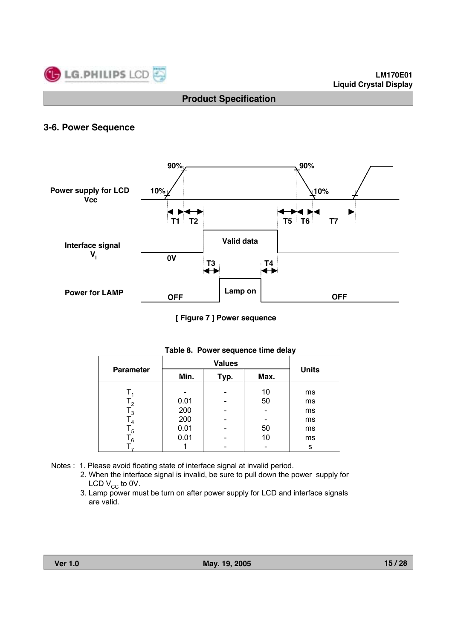

# **3-6. Power Sequence**



**[ Figure 7 ] Power sequence**

| <b>Parameter</b> |      | <b>Values</b> |      |              |  |  |  |  |  |
|------------------|------|---------------|------|--------------|--|--|--|--|--|
|                  | Min. | Typ.          | Max. | <b>Units</b> |  |  |  |  |  |
|                  |      |               | 10   | ms           |  |  |  |  |  |
| $T_{2}$          | 0.01 |               | 50   | ms           |  |  |  |  |  |
| $\mathsf{T}_3$   | 200  |               |      | ms           |  |  |  |  |  |
| $\mathsf{I}_4$   | 200  |               |      | ms           |  |  |  |  |  |
| $\mathsf{T}_5$   | 0.01 |               | 50   | ms           |  |  |  |  |  |
| 6 '              | 0.01 |               | 10   | ms           |  |  |  |  |  |
|                  |      |               |      | s            |  |  |  |  |  |

#### **Table 8. Power sequence time delay**

- Notes : 1. Please avoid floating state of interface signal at invalid period.
	- 2. When the interface signal is invalid, be sure to pull down the power supply for LCD  $V_{CC}$  to 0V.
	- 3. Lamp power must be turn on after power supply for LCD and interface signals are valid.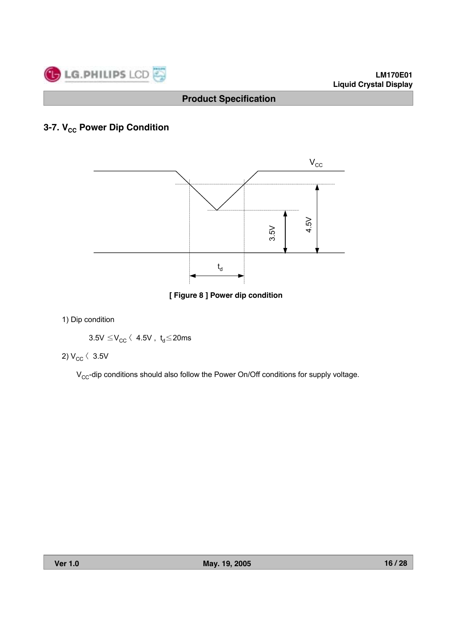

# **3-7. V<sub>cc</sub> Power Dip Condition**



**[ Figure 8 ] Power dip condition**

1) Dip condition

$$
3.5 \text{V}\leq \text{V}_{\text{CC}} \leftarrow 4.5 \text{V} \ , \ t_d {\leq} 20 \text{ms}
$$

2)  $V_{CC}$   $\langle$  3.5V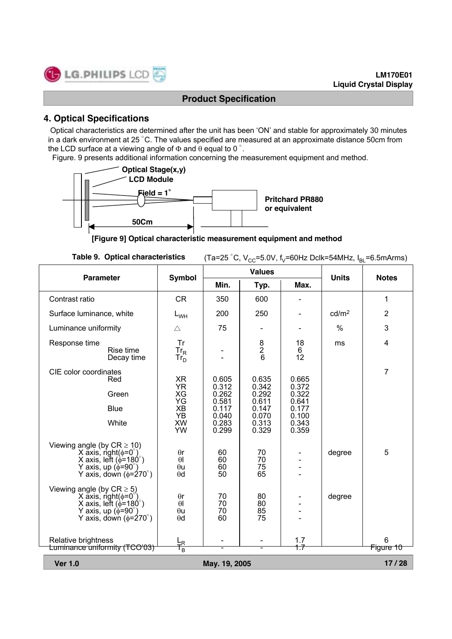# **4. Optical Specifications**

Optical characteristics are determined after the unit has been 'ON' and stable for approximately 30 minutes in a dark environment at 25 °C. The values specified are measured at an approximate distance 50cm from the LCD surface at a viewing angle of  $\Phi$  and  $\theta$  equal to 0 °.

Figure. 9 presents additional information concerning the measurement equipment and method.



**[Figure 9] Optical characteristic measurement equipment and method**

| <b>Table 9. Optical characteristics</b> | (Ta=25 °C, V <sub>CC</sub> =5.0V, f <sub>V</sub> =60Hz Dclk=54MHz, I <sub>BL</sub> =6.5mArms) |
|-----------------------------------------|-----------------------------------------------------------------------------------------------|
|-----------------------------------------|-----------------------------------------------------------------------------------------------|

| <b>Parameter</b>                                                                                                                                                              | <b>Symbol</b>                                                            |                                                                      | <b>Values</b>                                                        |                                                                      | <b>Units</b>      | <b>Notes</b>   |
|-------------------------------------------------------------------------------------------------------------------------------------------------------------------------------|--------------------------------------------------------------------------|----------------------------------------------------------------------|----------------------------------------------------------------------|----------------------------------------------------------------------|-------------------|----------------|
|                                                                                                                                                                               |                                                                          | Min.                                                                 | Typ.                                                                 | Max.                                                                 |                   |                |
| Contrast ratio                                                                                                                                                                | <b>CR</b>                                                                | 350                                                                  | 600                                                                  |                                                                      |                   | 1              |
| Surface luminance, white                                                                                                                                                      | $L_{WH}$                                                                 | 200                                                                  | 250                                                                  |                                                                      | cd/m <sup>2</sup> | $\overline{2}$ |
| Luminance uniformity                                                                                                                                                          | $\triangle$                                                              | 75                                                                   |                                                                      |                                                                      | $\%$              | 3              |
| Response time<br>Rise time<br>Decay time                                                                                                                                      | <b>Tr</b><br>$\frac{\text{Tr}_{\text{R}}}{\text{Tr}_{\text{D}}}$         |                                                                      | $\begin{array}{c}\n8 \\ 2 \\ 6\n\end{array}$                         | 18<br>6<br>12                                                        | ms                | 4              |
| CIE color coordinates<br>Red<br>Green<br><b>Blue</b><br>White                                                                                                                 | XR<br><b>YR</b><br>XG<br>ΥG<br><b>XB</b><br>YB<br><b>XW</b><br><b>YW</b> | 0.605<br>0.312<br>0.262<br>0.581<br>0.117<br>0.040<br>0.283<br>0.299 | 0.635<br>0.342<br>0.292<br>0.611<br>0.147<br>0.070<br>0.313<br>0.329 | 0.665<br>0.372<br>0.322<br>0.641<br>0.177<br>0.100<br>0.343<br>0.359 |                   | 7              |
| Viewing angle (by $CR \ge 10$ )<br>X axis, right( $\phi = 0^{\circ}$ )<br>X axis, left ( $\phi$ =180°)<br>Y axis, up $(\phi = 90^\circ)$<br>Y axis, down $(\phi = 270^\circ)$ | $\theta$ r<br>$\theta$<br>$\theta$ u<br>$\theta$ d                       | 60<br>60<br>60<br>50                                                 | 70<br>70<br>75<br>65                                                 |                                                                      | degree            | 5              |
| Viewing angle (by $CR \ge 5$ )<br>X axis, right( $\phi = 0$<br>X axis, left $(\phi = 180^\circ)$<br>Y axis, up ( $\phi$ =90°)<br>Y axis, down $(\phi = 270^\circ)$            | $\theta$ r<br>$\theta$<br>$\theta$ u<br>$\theta$ d                       | 70<br>70<br>70<br>60                                                 | 80<br>80<br>85<br>75                                                 |                                                                      | degree            |                |
| Relative brightness<br>Luminance uniformity (TCO'03)                                                                                                                          | 노<br>T <sub>B</sub>                                                      |                                                                      |                                                                      | 1.7<br>$+7$                                                          |                   | 6<br>Figure 10 |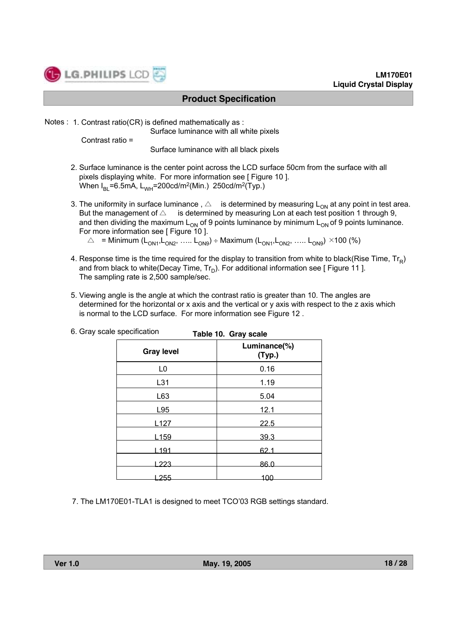

Notes : 1. Contrast ratio(CR) is defined mathematically as :

Surface luminance with all white pixels

Contrast ratio =

Surface luminance with all black pixels

- 2. Surface luminance is the center point across the LCD surface 50cm from the surface with all pixels displaying white. For more information see [ Figure 10 ]. When  $I_{B1}$ =6.5mA, L<sub>WH</sub>=200cd/m<sup>2</sup>(Min.) 250cd/m<sup>2</sup>(Typ.)
- 3. The uniformity in surface luminance,  $\triangle$  is determined by measuring  $L_{ON}$  at any point in test area. But the management of  $\triangle$  is determined by measuring Lon at each test position 1 through 9, and then dividing the maximum  $L_{ON}$  of 9 points luminance by minimum  $L_{ON}$  of 9 points luminance. For more information see [ Figure 10 ].

 $\triangle$  = Minimum (L<sub>ON1</sub>, L<sub>ON2</sub>, ….. L<sub>ON9</sub>) ÷ Maximum (L<sub>ON1</sub>, L<sub>ON2</sub>, ….. L<sub>ON9</sub>) ×100 (%)

- 4. Response time is the time required for the display to transition from white to black(Rise Time,  $Tr_R$ ) and from black to white(Decay Time,  $Tr_D$ ). For additional information see [ Figure 11 ]. The sampling rate is 2,500 sample/sec.
- 5. Viewing angle is the angle at which the contrast ratio is greater than 10. The angles are determined for the horizontal or x axis and the vertical or y axis with respect to the z axis which is normal to the LCD surface. For more information see Figure 12 .

|                   | Table To. Gray scale   |
|-------------------|------------------------|
| <b>Gray level</b> | Luminance(%)<br>(Typ.) |
| L <sub>0</sub>    | 0.16                   |
| L31               | 1.19                   |
| L63               | 5.04                   |
| L95               | 12.1                   |
| L <sub>127</sub>  | 22.5                   |
| L <sub>159</sub>  | 39.3                   |
| L191              | 62.1                   |
| L223              | 86.0                   |
| -255              | 100                    |

**Table 10. Gray scale** 6. Gray scale specification

7. The LM170E01-TLA1 is designed to meet TCO'03 RGB settings standard.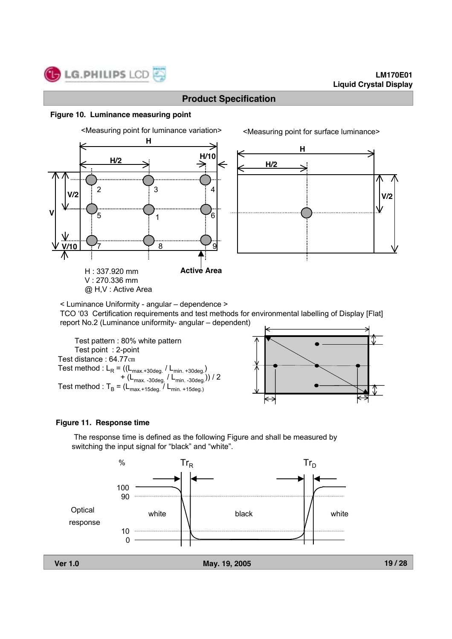#### **Figure 10. Luminance measuring point**



< Luminance Uniformity - angular – dependence >

TCO '03 Certification requirements and test methods for environmental labelling of Display [Flat] report No.2 (Luminance uniformity- angular – dependent)

Test pattern : 80% white pattern Test point : 2-point Test distance : 64.77㎝ Test method :  $L_R = ((L_{max.+30deg.}/ L_{min.+30deg.})$ +  $(L_{\text{max. -30deg.}} / L_{\text{min. -30deg.}})$  / 2 Test method :  $T_B = (L_{\text{max.+15deg.}} / L_{\text{min. +15deg.}})$ 



#### **Figure 11. Response time**

The response time is defined as the following Figure and shall be measured by switching the input signal for "black" and "white".

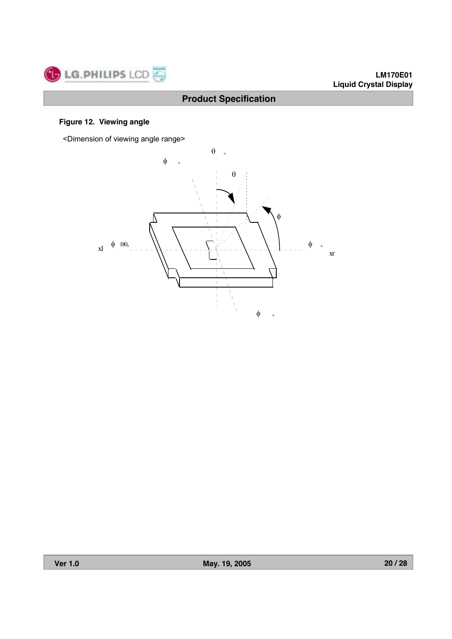

### **Figure 12. Viewing angle**

<Dimension of viewing angle range>

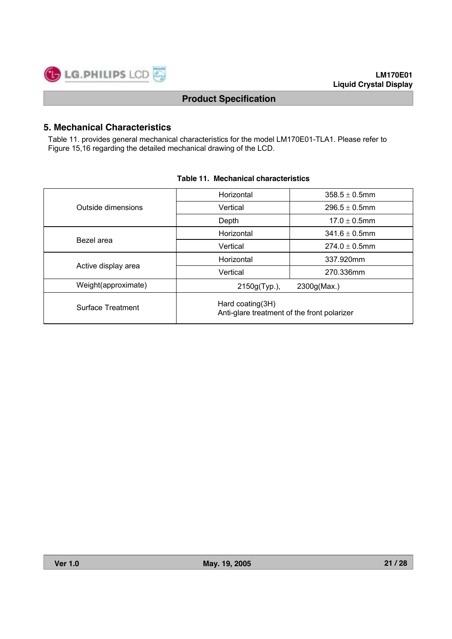

# **5. Mechanical Characteristics**

Table 11. provides general mechanical characteristics for the model LM170E01-TLA1. Please refer to Figure 15,16 regarding the detailed mechanical drawing of the LCD.

|                     | Horizontal                                                      | $358.5 \pm 0.5$ mm |  |  |  |  |
|---------------------|-----------------------------------------------------------------|--------------------|--|--|--|--|
| Outside dimensions  | Vertical                                                        | $296.5 \pm 0.5$ mm |  |  |  |  |
|                     | Depth                                                           | $17.0 \pm 0.5$ mm  |  |  |  |  |
|                     | Horizontal                                                      | $341.6 \pm 0.5$ mm |  |  |  |  |
| Bezel area          | Vertical                                                        | $274.0 \pm 0.5$ mm |  |  |  |  |
|                     | Horizontal                                                      | 337.920mm          |  |  |  |  |
| Active display area | Vertical                                                        | 270.336mm          |  |  |  |  |
| Weight(approximate) | 2150g(Typ.),                                                    | 2300g(Max.)        |  |  |  |  |
| Surface Treatment   | Hard coating(3H)<br>Anti-glare treatment of the front polarizer |                    |  |  |  |  |

#### **Table 11. Mechanical characteristics**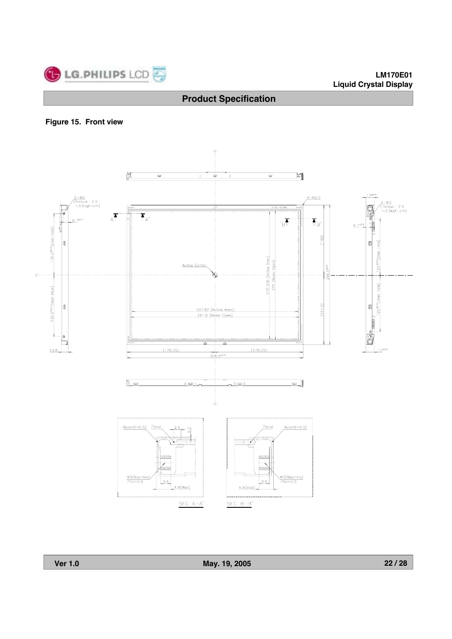

### **Figure 15. Front view**

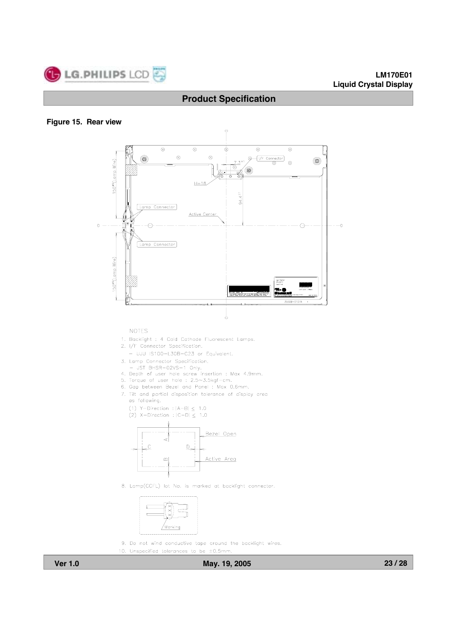

#### **Figure 15. Rear view**



- 7. Tilt and partial disposition tolerance of display area as following.
	- (1) Y-Direction :  $|A-B| \leq 1.0$
	- (2) X-Direction :  $|C-D| \le 1.0$



8. Lamp(CCFL) lot No. is marked at backlight connector.



9. Do not wind conductive tape around the backlight wires.

10. Unspecified tolerances to be  $\pm 0.5$ mm.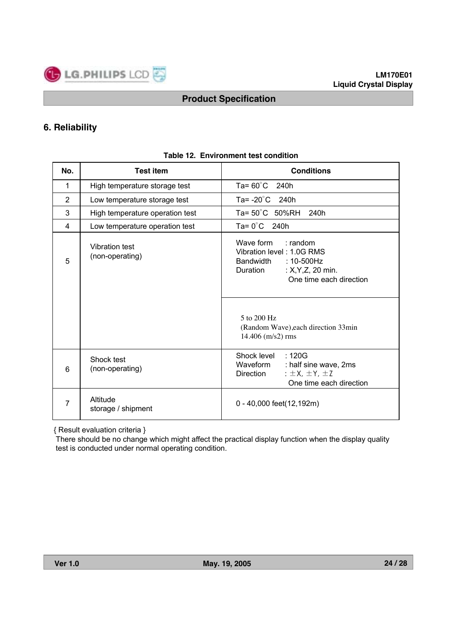

# **6. Reliability**

| No.            | <b>Test item</b>                  | <b>Conditions</b>                                                                                                                          |
|----------------|-----------------------------------|--------------------------------------------------------------------------------------------------------------------------------------------|
| $\mathbf{1}$   | High temperature storage test     | Ta= $60^{\circ}$ C 240h                                                                                                                    |
| $\overline{2}$ | Low temperature storage test      | Ta= $-20^{\circ}$ C 240h                                                                                                                   |
| 3              | High temperature operation test   | Ta= $50^{\circ}$ C 50%RH<br>240h                                                                                                           |
| 4              | Low temperature operation test    | Ta= $0^{\circ}$ C 240h                                                                                                                     |
| 5              | Vibration test<br>(non-operating) | Wave form<br>$:$ random<br>Vibration level: 1.0G RMS<br>Bandwidth: 10-500Hz<br>Duration<br>: $X, Y, Z, 20$ min.<br>One time each direction |
|                |                                   | $5$ to $200$ Hz<br>(Random Wave), each direction 33min<br>$14.406$ (m/s2) rms                                                              |
| 6              | Shock test<br>(non-operating)     | Shock level<br>:120G<br>Waveform<br>: half sine wave, 2ms<br>: $\pm$ X, $\pm$ Y, $\pm$ Z<br>Direction<br>One time each direction           |
| 7              | Altitude<br>storage / shipment    | 0 - 40,000 feet(12,192m)                                                                                                                   |

#### **Table 12. Environment test condition**

{ Result evaluation criteria }

There should be no change which might affect the practical display function when the display quality test is conducted under normal operating condition.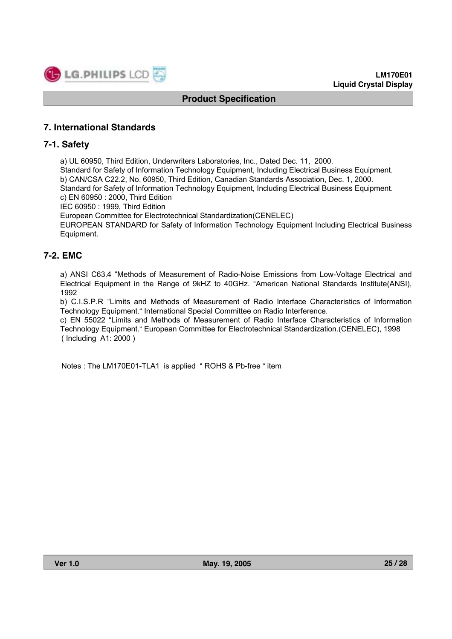

## **7. International Standards**

#### **7-1. Safety**

a) UL 60950, Third Edition, Underwriters Laboratories, Inc., Dated Dec. 11, 2000. Standard for Safety of Information Technology Equipment, Including Electrical Business Equipment. b) CAN/CSA C22.2, No. 60950, Third Edition, Canadian Standards Association, Dec. 1, 2000. Standard for Safety of Information Technology Equipment, Including Electrical Business Equipment. c) EN 60950 : 2000, Third Edition IEC 60950 : 1999, Third Edition European Committee for Electrotechnical Standardization(CENELEC) EUROPEAN STANDARD for Safety of Information Technology Equipment Including Electrical Business Equipment.

#### **7-2. EMC**

a) ANSI C63.4 "Methods of Measurement of Radio-Noise Emissions from Low-Voltage Electrical and Electrical Equipment in the Range of 9kHZ to 40GHz. "American National Standards Institute(ANSI), 1992

b) C.I.S.P.R "Limits and Methods of Measurement of Radio Interface Characteristics of Information Technology Equipment." International Special Committee on Radio Interference.

c) EN 55022 "Limits and Methods of Measurement of Radio Interface Characteristics of Information Technology Equipment." European Committee for Electrotechnical Standardization.(CENELEC), 1998 ( Including A1: 2000 )

Notes : The LM170E01-TLA1 is applied "ROHS & Pb-free " item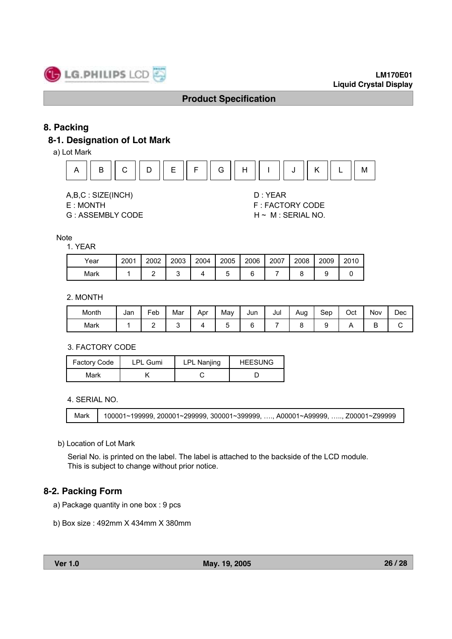

# **8. Packing**

# **8-1. Designation of Lot Mark**

a) Lot Mark



A,B,C : SIZE(INCH) D : YEAR

G : ASSEMBLY CODE H ~ M : SERIAL NO.

E : MONTH F : FACTORY CODE

#### **Note**

#### 1. YEAR

| Year | 2001 | 2002 | 2003 | 2004 | 2005 | 2006 | 2007 | 2008 | 2009 | 2010 |
|------|------|------|------|------|------|------|------|------|------|------|
| Mark |      |      |      |      |      |      |      |      |      |      |

#### 2. MONTH

| Month | Jan | Feb | Mar | Apr | May | Jun | Jul | Aug | Sep | Oct | Nov | Dec |
|-------|-----|-----|-----|-----|-----|-----|-----|-----|-----|-----|-----|-----|
| Mark  |     | -   |     |     |     |     |     |     |     | . . | -   |     |

#### 3. FACTORY CODE

| <b>Factory Code</b> | <b>LPL Gumi</b> | <b>LPL Nanjing</b> | <b>HEESUNG</b> |
|---------------------|-----------------|--------------------|----------------|
| Mark                |                 |                    |                |

#### 4. SERIAL NO.

```
Mark 100001~199999, 200001~299999, 300001~399999, …., A00001~A99999, ….., Z00001~Z99999
```
#### b) Location of Lot Mark

Serial No. is printed on the label. The label is attached to the backside of the LCD module. This is subject to change without prior notice.

### **8-2. Packing Form**

- a) Package quantity in one box : 9 pcs
- b) Box size : 492mm X 434mm X 380mm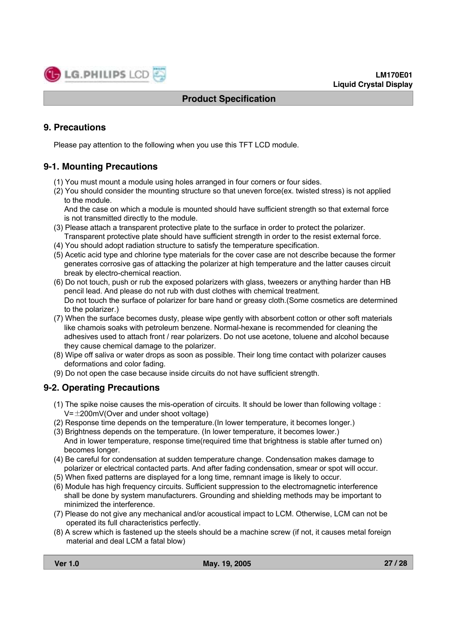

# **9. Precautions**

Please pay attention to the following when you use this TFT LCD module.

# **9-1. Mounting Precautions**

- (1) You must mount a module using holes arranged in four corners or four sides.
- (2) You should consider the mounting structure so that uneven force(ex. twisted stress) is not applied to the module.

And the case on which a module is mounted should have sufficient strength so that external force is not transmitted directly to the module.

- (3) Please attach a transparent protective plate to the surface in order to protect the polarizer. Transparent protective plate should have sufficient strength in order to the resist external force.
- (4) You should adopt radiation structure to satisfy the temperature specification.
- (5) Acetic acid type and chlorine type materials for the cover case are not describe because the former generates corrosive gas of attacking the polarizer at high temperature and the latter causes circuit break by electro-chemical reaction.
- (6) Do not touch, push or rub the exposed polarizers with glass, tweezers or anything harder than HB pencil lead. And please do not rub with dust clothes with chemical treatment. Do not touch the surface of polarizer for bare hand or greasy cloth.(Some cosmetics are determined to the polarizer.)
- (7) When the surface becomes dusty, please wipe gently with absorbent cotton or other soft materials like chamois soaks with petroleum benzene. Normal-hexane is recommended for cleaning the adhesives used to attach front / rear polarizers. Do not use acetone, toluene and alcohol because they cause chemical damage to the polarizer.
- (8) Wipe off saliva or water drops as soon as possible. Their long time contact with polarizer causes deformations and color fading.
- (9) Do not open the case because inside circuits do not have sufficient strength.

# **9-2. Operating Precautions**

- (1) The spike noise causes the mis-operation of circuits. It should be lower than following voltage :  $V = \pm 200$ mV(Over and under shoot voltage)
- (2) Response time depends on the temperature.(In lower temperature, it becomes longer.)
- (3) Brightness depends on the temperature. (In lower temperature, it becomes lower.) And in lower temperature, response time(required time that brightness is stable after turned on) becomes longer.
- (4) Be careful for condensation at sudden temperature change. Condensation makes damage to polarizer or electrical contacted parts. And after fading condensation, smear or spot will occur.
- (5) When fixed patterns are displayed for a long time, remnant image is likely to occur.
- (6) Module has high frequency circuits. Sufficient suppression to the electromagnetic interference shall be done by system manufacturers. Grounding and shielding methods may be important to minimized the interference.
- (7) Please do not give any mechanical and/or acoustical impact to LCM. Otherwise, LCM can not be operated its full characteristics perfectly.
- (8) A screw which is fastened up the steels should be a machine screw (if not, it causes metal foreign material and deal LCM a fatal blow)